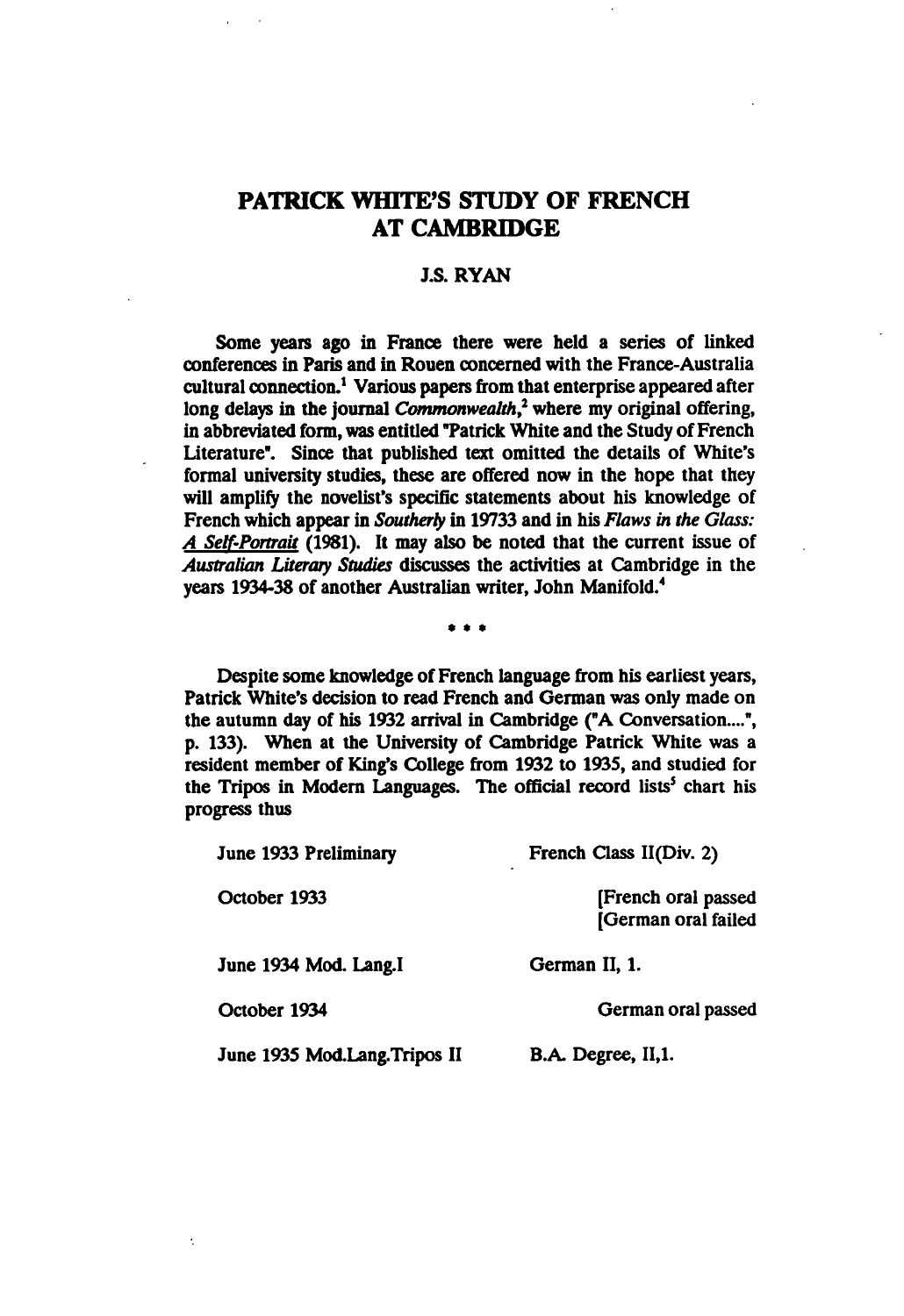## PATRICK WHITE'S STUDY OF FRENCH AT CAMBRIDGE

## J.S. RYAN

Some years ago in France there were held a series of linked conferences in Paris and in Rouen concerned with the France-Australia cultural connection.<sup>1</sup> Various papers from that enterprise appeared after long delays in the journal *Commonwealth*,<sup>2</sup> where my original offering, in abbreviated form, was entitled "Patrick White and the Study of French Literature". Since that published text omitted the details of White's formal university studies, these are offered now in the hope that they will amplify the novelist's specific statements about his knowledge of French which appear in Southerly in 19733 and in his Flaws in the Glass: A Self-Portrait (1981). It may also be noted that the current issue of Australian Literary Studies discusses the activities at Cambridge in the years 1934-38 of another Australian writer, John Manifold.4

 $\cdots$ 

Despite some knowledge of French language from his earliest years, Patrick White's decision to read French and German was only made on the autumn day of his 1932 arrival in Cambridge ("A Conversation....", p. 133). When at the University of Cambridge Patrick White was resident member of King's College from 1932 to 1935, and studied for the Tripos in Modern Languages. The official record lists<sup>5</sup> chart his progress thus

| June 1933 Preliminary        | French Class II(Div. 2)                    |
|------------------------------|--------------------------------------------|
| October 1933                 | [French oral passed<br>[German oral failed |
| June 1934 Mod. Lang.I        | German II, 1.                              |
| October 1934                 | German oral passed                         |
| June 1935 Mod.Lang.Tripos II | B.A. Degree, II,1.                         |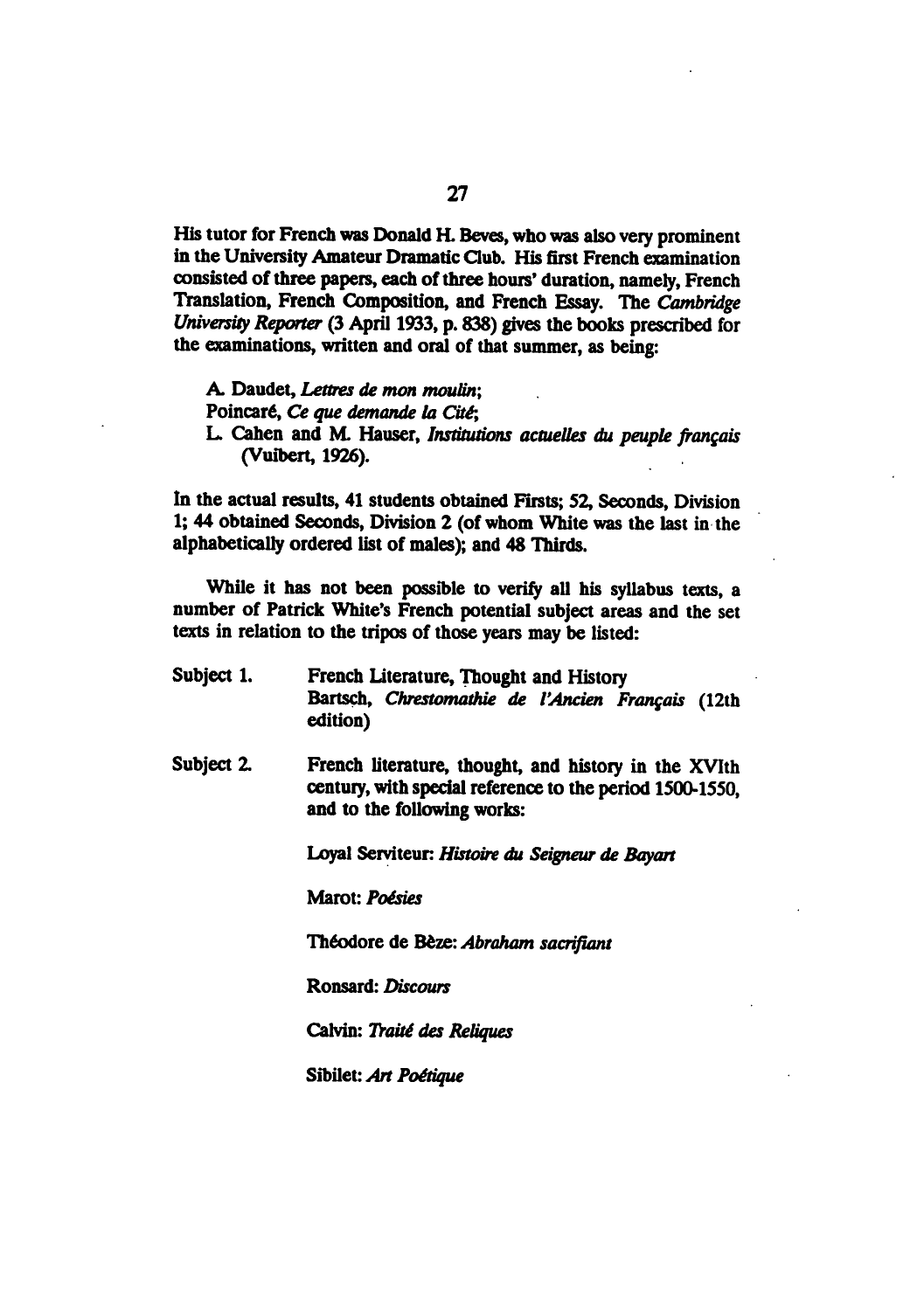His tutor for French was Donald H. Beves, who was also very prominent in the University Amateur Dramatic Club. His first French examination consisted of three papers, each of three hours' duration, namely, French Translation, French Composition, and French Essay. The Cambridge University Reporter (3 April 1933, p. 838) gives the books prescribed for the examinations, written and oral of that summer, as being:

A. Daudet, Lettres de mon moulin; Poincaré, Ce que demande la Cité;

L. Cahen and M. Hauser, Institutions actuelles du peuple français (Vuibert, 1926).

In the actual results, 41 students obtained Firsts; 52, Seconds, Division 1; 44 obtained Seconds, Division 2 (of whom White was the last in the alphabetically ordered list of males); and 48 Thirds.

While it has not been possible to verify all his syllabus texts, a number of Patrick White's French potential subject areas and the set texts in relation to the tripos of those years may be listed:

- Subject 1. French Literature, Thought and History Bartsch, Chrestomathie de l'Ancien Français (12th edition)
- Subject 2. French literature, thought, and history in the XVIth century, with special reference to the period 1500-1550, and to the following works:

Loyal Serviteur: Histoire du Seigneur de Bayart

Marot: Poésies

Theodore de Beze: Abraham sacrifiant

Ronsard: Discours

Calvin: Traité des Reliques

Sibilet: Art Poétique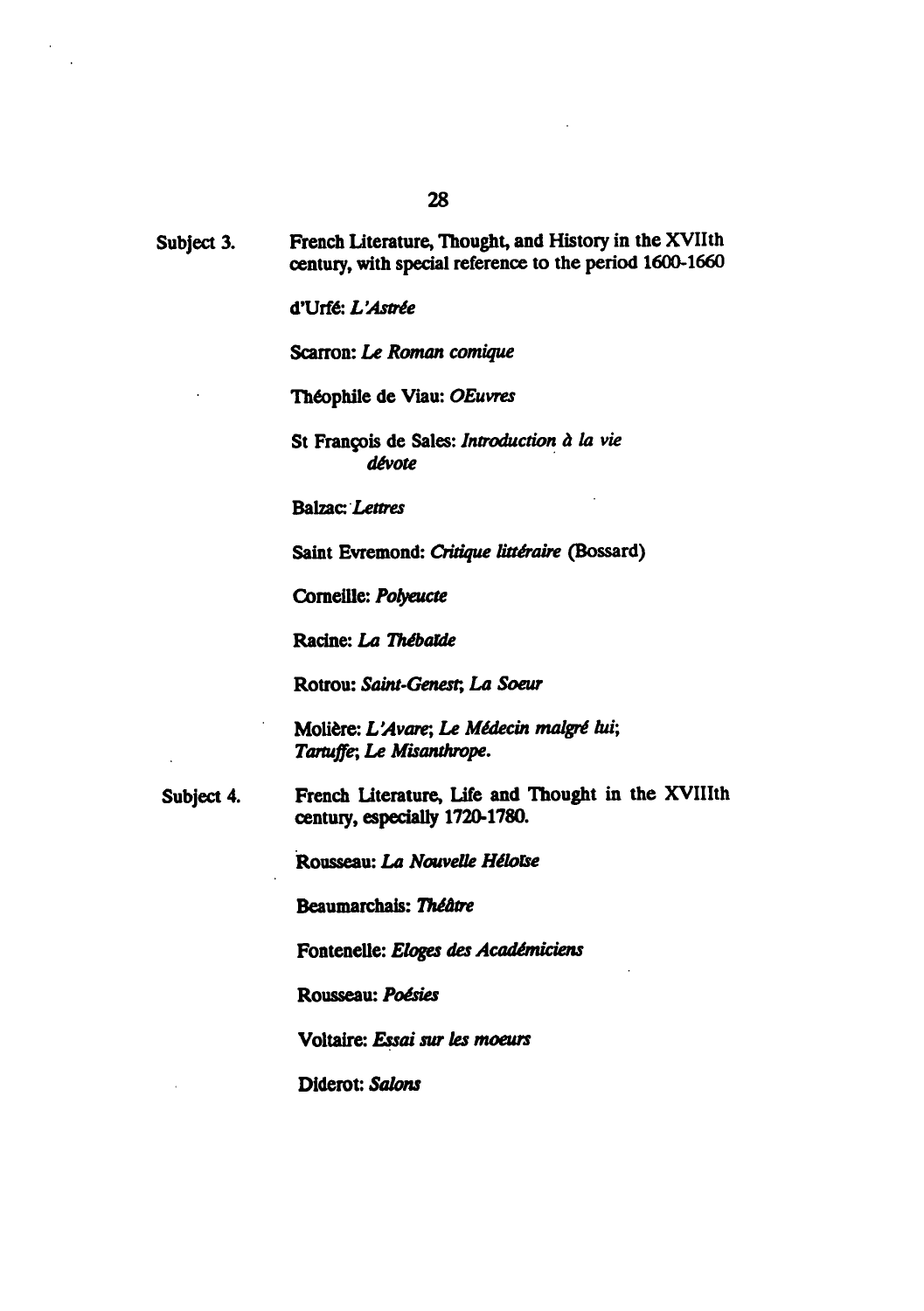Subject 3. French Literature, Thought, and History in the XVIIth century, with special reference to the period 1600-1660

d'Urfé: L'Astrée

Scarron: Le Roman comique

Theophile de Viau: OEuvres

St François de Sales: Introduction à la vie d£vote

**Balzac**: Lettres

Saint Evremond: Critique littéraire (Bossard)

Corneille: Pofyeucte

Racine: La Thébalde

Rotrou: Saint-Genest, La Soeur

Molière: L'Avare; Le Médecin malgré lui; Tartuffe; Le Misanthrope.

Subject 4. French literature, Life and Thought in the XVIIIth century, especially 1720-1780.

Rousseau: La Nouvelle Héloïse

Beaumarchais: Théâtre

Fontenelle: Eloges des Académiciens

Rousseau: Poésies

Voltaire: Essai sur les moeurs

Diderot: Salons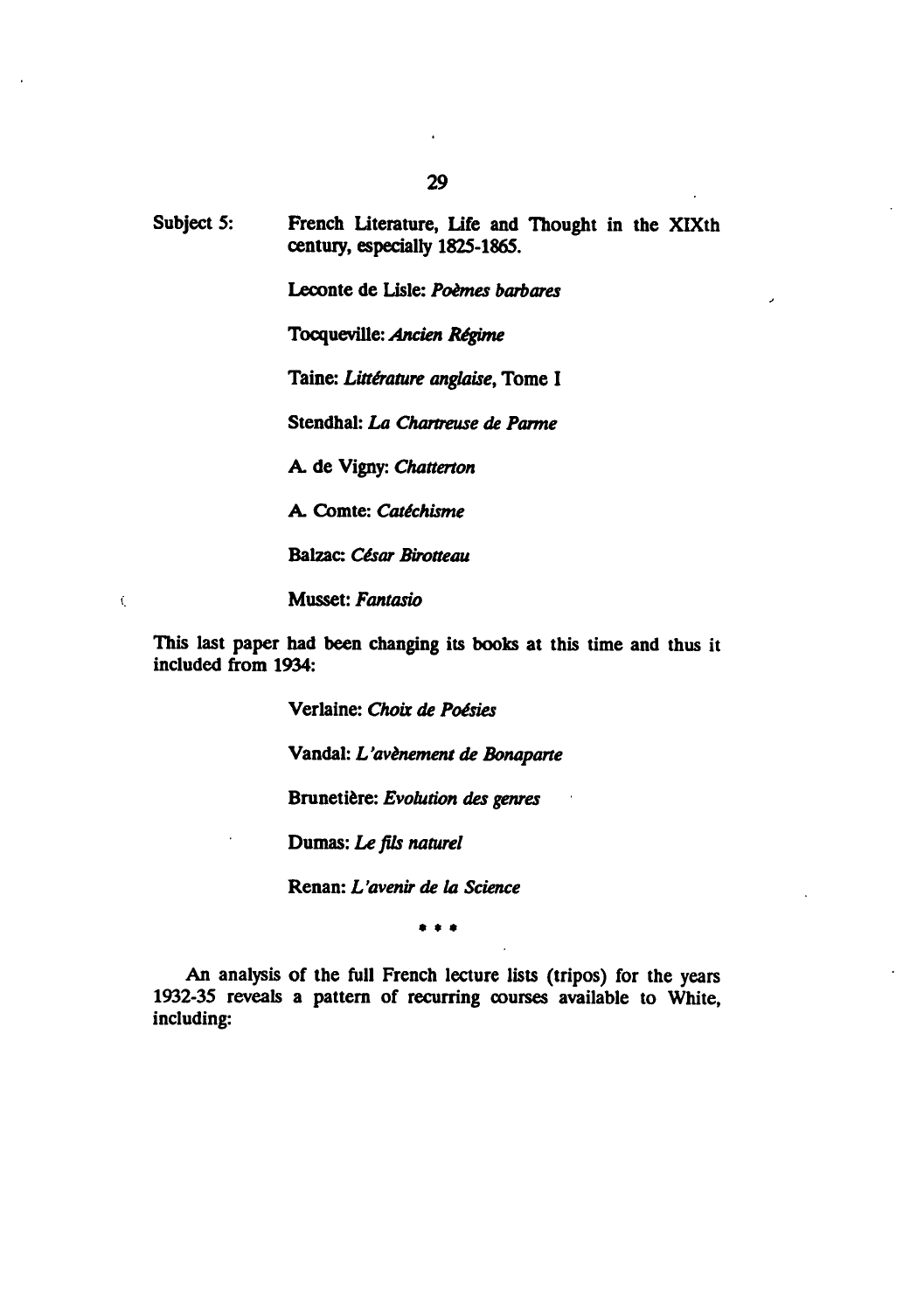Leconte de Lisle: Poèmes barbares

Tocqueville: Ancien Regime

Taine: Littérature anglaise, Tome I

Stendhal: La Chartreuse de Parme

A. de Vigny: Chatterton

A. Comte: Catéchisme

Balzac: César Birotteau

Musset: Fantasio

 $\zeta$ 

This last paper had been changing its books at this time and thus it included from 1934:

Verlaine: Choix de Poésies

Vandal: L'avènement de Bonaparte

Brunetière: Evolution des genres

Dumas: Le fits naturel

Renan: L'avenir de la Science

 $\bullet$   $\bullet$   $\bullet$ 

An analysis of the full French lecture lists (tripos) for the years 1932-35 reveals a pattern of recurring courses available to White, including: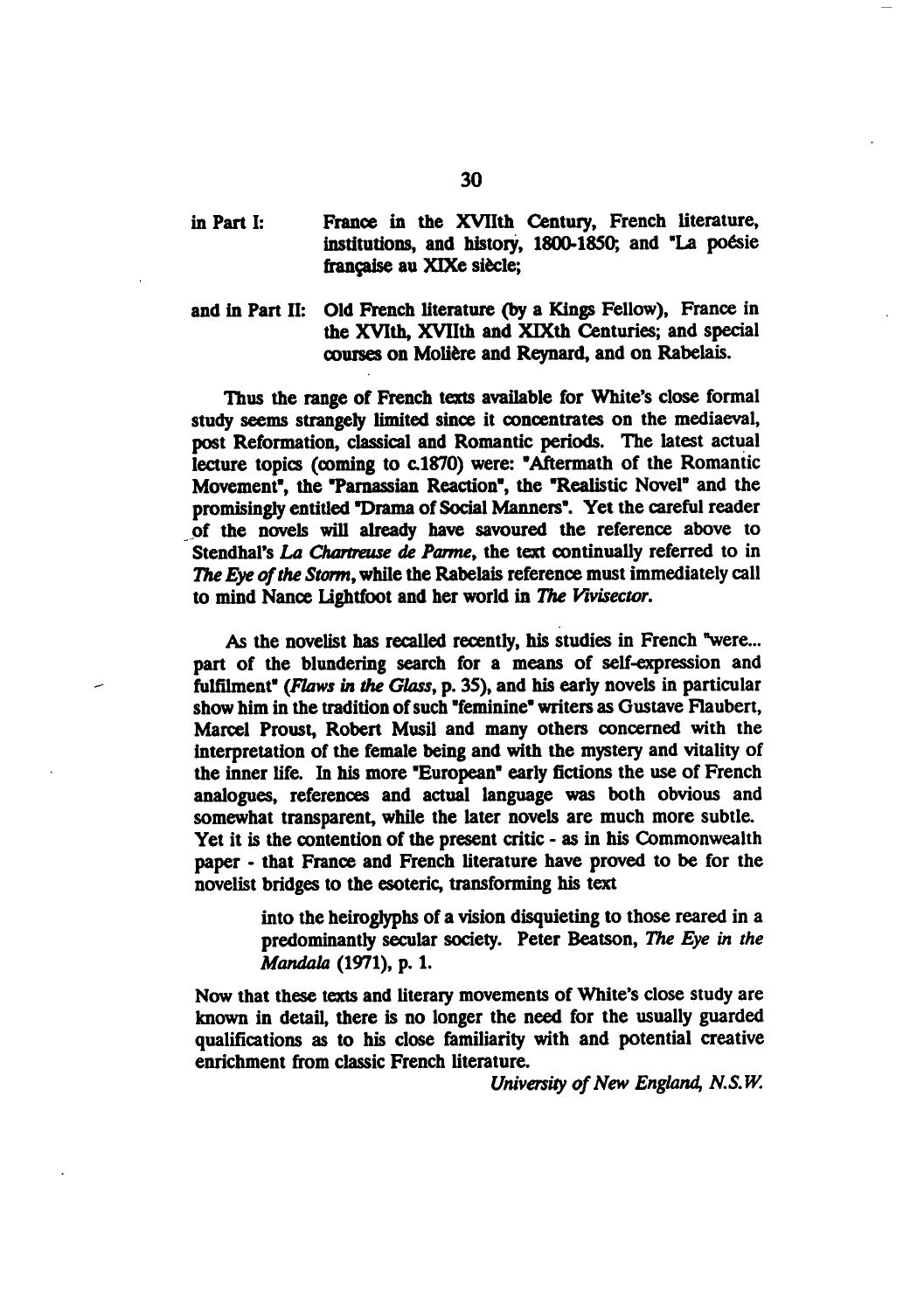## in Part I: France in the XVIIth Century, French literature, institutions, and history, 1800-1850; and "La poésie francaise au XIXe siècle;

and in Part II: Old French literature (by a Kings Fellow), France in the XVIth, XVIIth and XIXth Centuries; and special courses on Moliere and Reynard, and on Rabelais.

Thus the range of French texts available for White's close formal study seems strangely limited since it concentrates on the mediaeval, post Reformation, classical and Romantic periods. The latest actual lecture topics (coming to c.1870) were: "Aftermath of the Romantic Movement", the "Parnassian Reaction", the "Realistic Novel" and the promisingly entitled "Drama of Social Manners". Yet the careful reader of the novels will already have savoured the reference above to Stendhal's La Chartreuse de Parme, the text continually referred to in The Eye of the Storm, while the Rabelais reference must immediately call to mind Nance Lightfoot and her world in The Vivisector.

As the novelist has recalled recently, his studies in French "were... part of the blundering search for a means of self-expression and fulfilment" {Flaws in the Class, p. 35), and his early novels in particular show him in the tradition of such "feminine" writers as Gustave Flaubert, Marcel Proust, Robert Musil and many others concerned with the interpretation of the female being and with the mystery and vitality of the inner life. In his more "European" early fictions the use of French analogues, references and actual language was both obvious and somewhat transparent, while the later novels are much more subtle. Yet it is the contention of the present critic - as in his Commonwealth paper - that France and French literature have proved to be for the novelist bridges to the esoteric, transforming his text

> into the heiroglyphs of a vision disquieting to those reared in a predominantly secular society. Peter Beatson, The Eye in the Mandala (1971), p. 1.

Now that these texts and literary movements of White's close study are known in detail, there is no longer the need for the usually guarded qualifications as to his close familiarity with and potential creative enrichment from classic French literature.

University of New England, N.S.W.